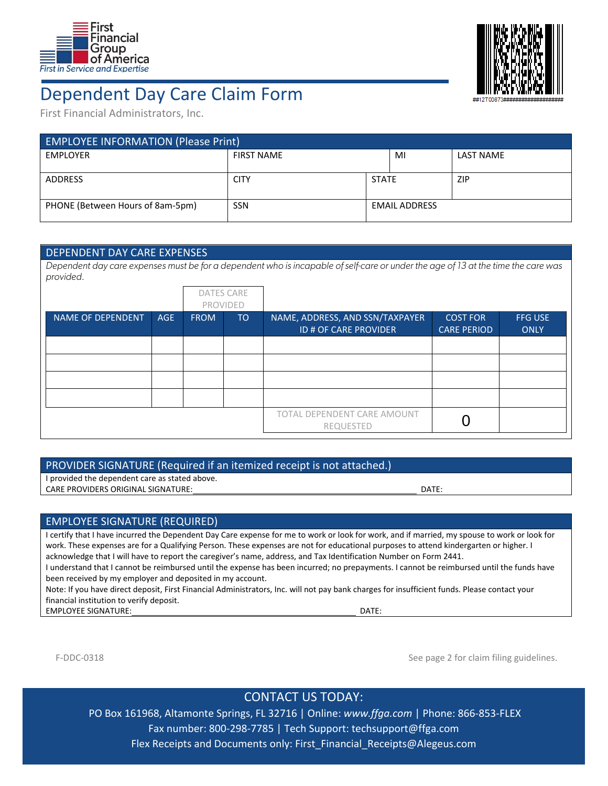



Dependent Day Care Claim Form

First Financial Administrators, Inc.

| <b>EMPLOYEE INFORMATION (Please Print)</b> |                   |                      |    |                  |  |  |  |  |
|--------------------------------------------|-------------------|----------------------|----|------------------|--|--|--|--|
| <b>EMPLOYER</b>                            | <b>FIRST NAME</b> |                      | MI | <b>LAST NAME</b> |  |  |  |  |
|                                            |                   |                      |    |                  |  |  |  |  |
| <b>ADDRESS</b>                             | <b>CITY</b>       | <b>STATE</b>         |    | ZIP              |  |  |  |  |
| PHONE (Between Hours of 8am-5pm)           | <b>SSN</b>        | <b>EMAIL ADDRESS</b> |    |                  |  |  |  |  |

### DEPENDENT DAY CARE EXPENSES

Dependent day care expenses must be for a dependent who is incapable of self-care or under the age of 13 at the time the care was provided.

|                          |            |             | <b>DATES CARE</b><br><b>PROVIDED</b> |                                                          |                                       |                               |
|--------------------------|------------|-------------|--------------------------------------|----------------------------------------------------------|---------------------------------------|-------------------------------|
| <b>NAME OF DEPENDENT</b> | <b>AGE</b> | <b>FROM</b> | <b>TO</b>                            | NAME, ADDRESS, AND SSN/TAXPAYER<br>ID # OF CARE PROVIDER | <b>COST FOR</b><br><b>CARE PERIOD</b> | <b>FFG USE</b><br><b>ONLY</b> |
|                          |            |             |                                      |                                                          |                                       |                               |
|                          |            |             |                                      |                                                          |                                       |                               |
|                          |            |             |                                      |                                                          |                                       |                               |
|                          |            |             |                                      |                                                          |                                       |                               |
|                          |            |             |                                      | TOTAL DEPENDENT CARE AMOUNT<br>REQUESTED                 |                                       |                               |

#### PROVIDER SIGNATURE (Required if an itemized receipt is not attached.)

I provided the dependent care as stated above.

CARE PROVIDERS ORIGINAL SIGNATURE: **International and the contract of the contract of the contract of the contract of the contract of the contract of the contract of the contract of the contract of the contract of the cont** 

#### EMPLOYEE SIGNATURE (REQUIRED)

I certify that I have incurred the Dependent Day Care expense for me to work or look for work, and if married, my spouse to work or look for work. These expenses are for a Qualifying Person. These expenses are not for educational purposes to attend kindergarten or higher. I acknowledge that I will have to report the caregiver's name, address, and Tax Identification Number on Form 2441.

I understand that I cannot be reimbursed until the expense has been incurred; no prepayments. I cannot be reimbursed until the funds have been received by my employer and deposited in my account.

Note: If you have direct deposit, First Financial Administrators, Inc. will not pay bank charges for insufficient funds. Please contact your financial institution to verify deposit.

EMPLOYEE SIGNATURE: DERIVER THE SIGNATURE OF THE SIGNATURE OF THE SERVER THE SIGNATURE OF THE SERVER THE SIGNATURE OF THE SIGNATURE OF THE SIGNATURE OF THE SIGNATURE OF THE SIGNATURE OF THE SIGNATURE OF THE SIGNATURE OF TH

F-DDC-0318 **See page 2** for claim filing guidelines.

# CONTACT US TODAY:

PO Box 161968, Altamonte Springs, FL 32716 | Online: *www.ffga.com* | Phone: 866‐853‐FLEX Fax number: 800‐298‐7785 | Tech Support: techsupport@ffga.com Flex Receipts and Documents only: First\_Financial\_Receipts@Alegeus.com